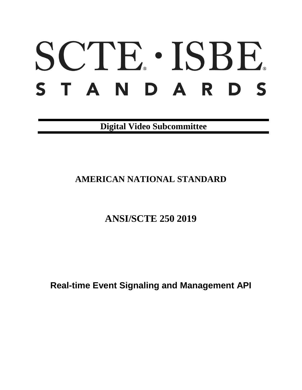# SCTE · ISBE. STANDARDS

**Digital Video Subcommittee**

# **AMERICAN NATIONAL STANDARD**

# **ANSI/SCTE 250 2019**

**Real-time Event Signaling and Management API**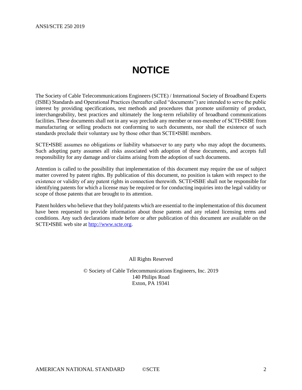# **NOTICE**

<span id="page-1-0"></span>The Society of Cable Telecommunications Engineers (SCTE) / International Society of Broadband Experts (ISBE) Standards and Operational Practices (hereafter called "documents") are intended to serve the public interest by providing specifications, test methods and procedures that promote uniformity of product, interchangeability, best practices and ultimately the long-term reliability of broadband communications facilities. These documents shall not in any way preclude any member or non-member of SCTE•ISBE from manufacturing or selling products not conforming to such documents, nor shall the existence of such standards preclude their voluntary use by those other than SCTE•ISBE members.

SCTE•ISBE assumes no obligations or liability whatsoever to any party who may adopt the documents. Such adopting party assumes all risks associated with adoption of these documents, and accepts full responsibility for any damage and/or claims arising from the adoption of such documents.

Attention is called to the possibility that implementation of this document may require the use of subject matter covered by patent rights. By publication of this document, no position is taken with respect to the existence or validity of any patent rights in connection therewith. SCTE•ISBE shall not be responsible for identifying patents for which a license may be required or for conducting inquiries into the legal validity or scope of those patents that are brought to its attention.

Patent holders who believe that they hold patents which are essential to the implementation of this document have been requested to provide information about those patents and any related licensing terms and conditions. Any such declarations made before or after publication of this document are available on the SCTE•ISBE web site at [http://www.scte.org.](http://www.scte.org/)

All Rights Reserved

© Society of Cable Telecommunications Engineers, Inc. 2019 140 Philips Road Exton, PA 19341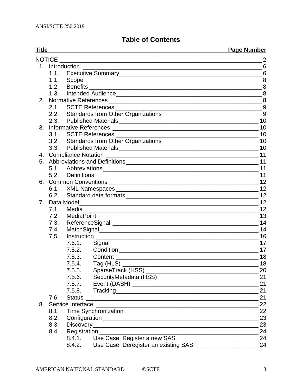## **Table of Contents**

|                | <b>Title</b> |               | <b>Page Number</b> |  |
|----------------|--------------|---------------|--------------------|--|
|                |              |               |                    |  |
|                |              |               |                    |  |
|                | $1.1 -$      |               | 6                  |  |
|                | 1.1.         |               |                    |  |
|                | 1.2.         |               |                    |  |
|                | 1.3.         |               |                    |  |
| 2.             |              |               |                    |  |
|                | 2.1.         |               |                    |  |
|                |              |               |                    |  |
|                |              |               |                    |  |
| 3.             |              |               |                    |  |
|                |              |               |                    |  |
|                |              |               |                    |  |
|                |              |               |                    |  |
| 4.             |              |               |                    |  |
| 5.             |              |               |                    |  |
|                | 5.1.         |               |                    |  |
|                | 5.2.         |               |                    |  |
| 6.             |              |               |                    |  |
|                | 6.1.         |               |                    |  |
|                | 6.2.         |               |                    |  |
| 7 <sub>1</sub> |              |               |                    |  |
|                | 7.1.         | Media         |                    |  |
|                | 7.2.         |               |                    |  |
|                | 7.3.         |               |                    |  |
|                | 7.4.         |               |                    |  |
|                | 7.5.         |               |                    |  |
|                |              | 7.5.1.        |                    |  |
|                |              |               | 17                 |  |
|                |              | 7.5.3.        | 18                 |  |
|                |              | 7.5.4.        |                    |  |
|                |              | 7.5.5.        | 20                 |  |
|                |              | 7.5.6.        | 21                 |  |
|                |              | 7.5.7.        | 21                 |  |
|                |              | 7.5.8.        | 21                 |  |
|                | 7.6.         | <b>Status</b> | 21                 |  |
| 8.             |              |               | 22                 |  |
|                | 8.1.         |               | 22                 |  |
|                | 8.2.         |               | 23                 |  |
|                | 8.3.         |               | 23                 |  |
|                | 8.4.         |               | 24                 |  |
|                |              | 8.4.1.        | 24                 |  |
|                |              | 8.4.2.        | 24                 |  |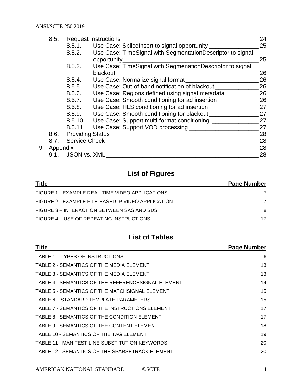| 8.5. |          |              | <b>Request Instructions</b>                                | 24 |
|------|----------|--------------|------------------------------------------------------------|----|
|      |          | 8.5.1.       | Use Case: SpliceInsert to signal opportunity               | 25 |
|      |          | 8.5.2.       | Use Case: TimeSignal with SegmentationDescriptor to signal |    |
|      |          |              | opportunity                                                | 25 |
|      |          | 8.5.3.       | Use Case: TimeSignal with SegmenationDescriptor to signal  |    |
|      |          |              | blackout                                                   | 26 |
|      |          | 8.5.4.       | Use Case: Normalize signal format                          | 26 |
|      |          | 8.5.5.       | Use Case: Out-of-band notification of blackout             | 26 |
|      |          | 8.5.6.       | Use Case: Regions defined using signal metadata            | 26 |
|      |          | 8.5.7.       | Use Case: Smooth conditioning for ad insertion             | 26 |
|      |          | 8.5.8.       | Use Case: HLS conditioning for ad insertion                | 27 |
|      |          | 8.5.9.       | Use Case: Smooth conditioning for blackout                 | 27 |
|      |          | 8.5.10.      | Use Case: Support multi-format conditioning ________       | 27 |
|      |          | 8.5.11.      | Use Case: Support VOD processing                           | 27 |
|      |          |              | 8.6. Providing Status                                      | 28 |
|      | 8.7.     |              | Service Check                                              | 28 |
| 9.   | Appendix |              |                                                            | 28 |
|      | 9.1.     | JSON vs. XML |                                                            | 28 |

## **List of Figures**

| <b>Title</b>                                       | <b>Page Number</b> |
|----------------------------------------------------|--------------------|
| FIGURE 1 - EXAMPLE REAL-TIME VIDEO APPLICATIONS    |                    |
| FIGURE 2 - EXAMPLE FILE-BASED IP VIDEO APPLICATION |                    |
| FIGURE 3 – INTERACTION BETWEEN SAS AND SDS         | 8                  |
| FIGURE 4 – USE OF REPEATING INSTRUCTIONS           | 17                 |

## **List of Tables**

| <b>Title</b>                                       | <b>Page Number</b> |
|----------------------------------------------------|--------------------|
| TABLE 1 – TYPES OF INSTRUCTIONS                    | 6                  |
| TABLE 2 - SEMANTICS OF THE MEDIA ELEMENT           | 13                 |
| TABLE 3 - SEMANTICS OF THE MEDIA ELEMENT           | 13                 |
| TABLE 4 - SEMANTICS OF THE REFERENCESIGNAL ELEMENT | 14                 |
| TABLE 5 - SEMANTICS OF THE MATCHSIGNAL ELEMENT     | 15                 |
| TABLE 6 – STANDARD TEMPLATE PARAMETERS             | 15                 |
| TABLE 7 - SEMANTICS OF THE INSTRUCTIONS ELEMENT    | 17                 |
| TABLE 8 - SEMANTICS OF THE CONDITION ELEMENT       | 17                 |
| TABLE 9 - SEMANTICS OF THE CONTENT ELEMENT         | 18                 |
| TABLE 10 - SEMANTICS OF THE TAG ELEMENT            | 19                 |
| TABLE 11 - MANIFEST LINE SUBSTITUTION KEYWORDS     | 20                 |
| TABLE 12 - SEMANTICS OF THE SPARSETRACK ELEMENT    | 20                 |
|                                                    |                    |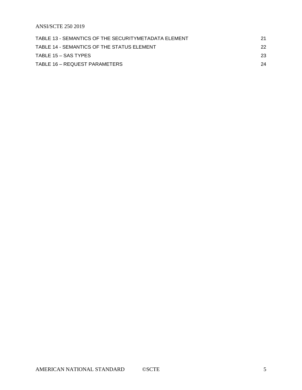ANSI/SCTE 250 2019

| TABLE 13 - SEMANTICS OF THE SECURITYMETADATA ELEMENT | 21  |
|------------------------------------------------------|-----|
| TABLE 14 - SEMANTICS OF THE STATUS ELEMENT           | 22. |
| TABLE 15 – SAS TYPES                                 | 23  |
| TABLE 16 – REQUEST PARAMETERS                        | 24  |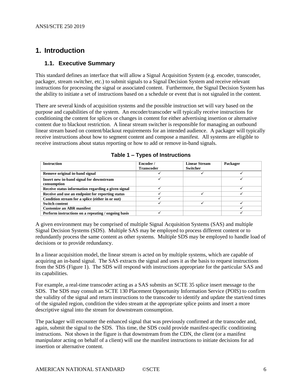## <span id="page-5-1"></span><span id="page-5-0"></span>**1. Introduction**

### **1.1. Executive Summary**

This standard defines an interface that will allow a Signal Acquisition System (e.g. encoder, transcoder, packager, stream switcher, etc.) to submit signals to a Signal Decision System and receive relevant instructions for processing the signal or associated content. Furthermore, the Signal Decision System has the ability to initiate a set of instructions based on a schedule or event that is not signaled in the content.

There are several kinds of acquisition systems and the possible instruction set will vary based on the purpose and capabilities of the system. An encoder/transcoder will typically receive instructions for conditioning the content for splices or changes in content for either advertising insertion or alternative content due to blackout restriction. A linear stream switcher is responsible for managing an outbound linear stream based on content/blackout requirements for an intended audience. A packager will typically receive instructions about how to segment content and compose a manifest. All systems are eligible to receive instructions about status reporting or how to add or remove in-band signals.

<span id="page-5-2"></span>

| <b>Instruction</b>                                      | Encoder /<br><b>Transcoder</b> | <b>Linear Stream</b><br><b>Switcher</b> | Packager |
|---------------------------------------------------------|--------------------------------|-----------------------------------------|----------|
| Remove original in-band signal                          |                                |                                         |          |
| Insert new in-band signal for downstream<br>consumption |                                |                                         |          |
| Receive status information regarding a given signal     |                                |                                         |          |
| Receive and use an endpoint for reporting status        |                                |                                         |          |
| Condition stream for a splice (either in or out)        |                                |                                         |          |
| <b>Switch content</b>                                   |                                |                                         |          |
| <b>Customize an ABR manifest</b>                        |                                |                                         |          |
| Perform instructions on a repeating / ongoing basis     |                                |                                         |          |

A given environment may be comprised of multiple Signal Acquisition Systems (SAS) and multiple Signal Decision Systems (SDS). Multiple SAS may be employed to process different content or to redundantly process the same content as other systems. Multiple SDS may be employed to handle load of decisions or to provide redundancy.

In a linear acquisition model, the linear stream is acted on by multiple systems, which are capable of acquiring an in-band signal. The SAS extracts the signal and uses it as the basis to request instructions from the SDS (Figure 1). The SDS will respond with instructions appropriate for the particular SAS and its capabilities.

For example, a real-time transcoder acting as a SAS submits an SCTE 35 splice insert message to the SDS. The SDS may consult an SCTE 130 Placement Opportunity Information Service (POIS) to confirm the validity of the signal and return instructions to the transcoder to identify and update the start/end times of the signaled region, condition the video stream at the appropriate splice points and insert a more descriptive signal into the stream for downstream consumption.

The packager will encounter the enhanced signal that was previously confirmed at the transcoder and, again, submit the signal to the SDS. This time, the SDS could provide manifest-specific conditioning instructions. Not shown in the figure is that downstream from the CDN, the client (or a manifest manipulator acting on behalf of a client) will use the manifest instructions to initiate decisions for ad insertion or alternative content.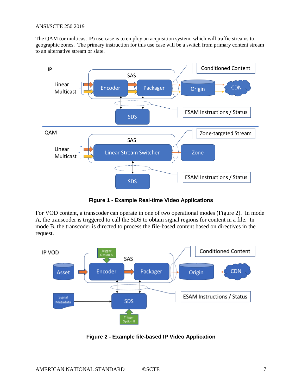#### ANSI/SCTE 250 2019

The QAM (or multicast IP) use case is to employ an acquisition system, which will traffic streams to geographic zones. The primary instruction for this use case will be a switch from primary content stream to an alternative stream or slate.



**Figure 1 - Example Real-time Video Applications**

<span id="page-6-0"></span>For VOD content, a transcoder can operate in one of two operational modes (Figure 2). In mode A, the transcoder is triggered to call the SDS to obtain signal regions for content in a file. In mode B, the transcoder is directed to process the file-based content based on directives in the request.



<span id="page-6-1"></span>**Figure 2 - Example file-based IP Video Application**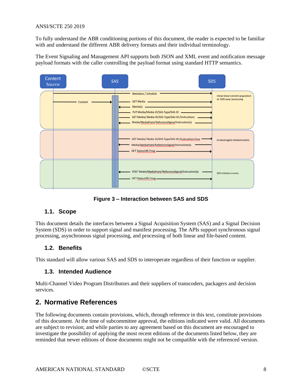#### ANSI/SCTE 250 2019

To fully understand the ABR conditioning portions of this document, the reader is expected to be familiar with and understand the different ABR delivery formats and their individual terminology.

The Event Signaling and Management API supports both JSON and XML event and notification message payload formats with the caller controlling the payload format using standard HTTP semantics.



**Figure 3 – Interaction between SAS and SDS**

#### <span id="page-7-4"></span><span id="page-7-0"></span>**1.1. Scope**

This document details the interfaces between a Signal Acquisition System (SAS) and a Signal Decision System (SDS) in order to support signal and manifest processing. The APIs support synchronous signal processing, asynchronous signal processing, and processing of both linear and file-based content.

#### <span id="page-7-1"></span>**1.2. Benefits**

<span id="page-7-2"></span>This standard will allow various SAS and SDS to interoperate regardless of their function or supplier.

#### **1.3. Intended Audience**

Multi-Channel Video Program Distributors and their suppliers of transcoders, packagers and decision services.

## <span id="page-7-3"></span>**2. Normative References**

The following documents contain provisions, which, through reference in this text, constitute provisions of this document. At the time of subcommittee approval, the editions indicated were valid. All documents are subject to revision; and while parties to any agreement based on this document are encouraged to investigate the possibility of applying the most recent editions of the documents listed below, they are reminded that newer editions of those documents might not be compatible with the referenced version.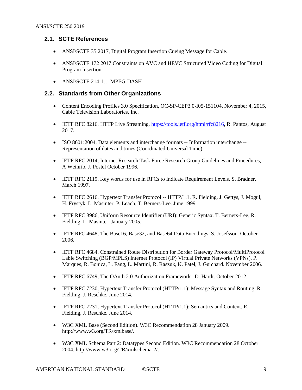## <span id="page-8-0"></span>**2.1. SCTE References**

- ANSI/SCTE 35 2017, Digital Program Insertion Cueing Message for Cable.
- ANSI/SCTE 172 2017 Constraints on AVC and HEVC Structured Video Coding for Digital Program Insertion.
- ANSI/SCTE 214-1… MPEG-DASH

## <span id="page-8-1"></span>**2.2. Standards from Other Organizations**

- Content Encoding Profiles 3.0 Specification, OC-SP-CEP3.0-I05-151104, November 4, 2015, Cable Television Laboratories, Inc.
- IETF RFC 8216, HTTP Live Streaming, [https://tools.ietf.org/html/rfc8216,](https://tools.ietf.org/html/rfc8216) R. Pantos, August 2017.
- ISO 8601:2004, Data elements and interchange formats -- Information interchange -- Representation of dates and times (Coordinated Universal Time).
- IETF RFC 2014, Internet Research Task Force Research Group Guidelines and Procedures, A Weinrib, J. Postel October 1996.
- IETF RFC 2119, Key words for use in RFCs to Indicate Requirement Levels. S. Bradner. March 1997.
- IETF RFC 2616, Hypertext Transfer Protocol -- HTTP/1.1. R. Fielding, J. Gettys, J. Mogul, H. Frystyk, L. Masinter, P. Leach, T. Berners-Lee. June 1999.
- IETF RFC 3986, Uniform Resource Identifier (URI): Generic Syntax. T. Berners-Lee, R. Fielding, L. Masinter. January 2005.
- IETF RFC 4648, The Base16, Base32, and Base64 Data Encodings. S. Josefsson. October 2006.
- IETF RFC 4684, Constrained Route Distribution for Border Gateway Protocol/MultiProtocol Lable Switching (BGP/MPLS) Internet Protocol (IP) Virtual Private Networks (VPNs). P. Marques, R. Bonica, L. Fang, L. Martini, R. Raszuk, K. Patel, J. Guichard. November 2006.
- IETF RFC 6749, The OAuth 2.0 Authorization Framework. D. Hardt. October 2012.
- IETF RFC 7230, Hypertext Transfer Protocol (HTTP/1.1): Message Syntax and Routing. R. Fielding, J. Reschke. June 2014.
- IETF RFC 7231, Hypertext Transfer Protocol (HTTP/1.1): Semantics and Content. R. Fielding, J. Reschke. June 2014.
- W3C XML Base (Second Edition). W3C Recommendation 28 January 2009. [http://www.w3.org/TR/xmlbase/.](http://www.w3.org/TR/xmlbase/)
- W3C XML Schema Part 2: Datatypes Second Edition. W3C Recommendation 28 October 2004. [http://www.w3.org/TR/xmlschema-2/.](http://www.w3.org/TR/xmlschema-2/)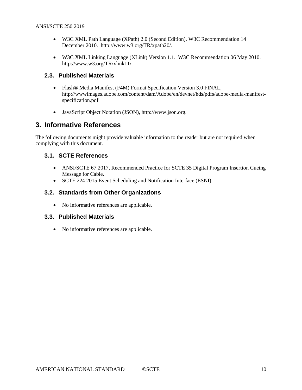- W3C XML Path Language (XPath) 2.0 (Second Edition). W3C Recommendation 14 December 2010. [http://www.w3.org/TR/xpath20/.](http://www.w3.org/TR/xpath20/)
- W3C XML Linking Language (XLink) Version 1.1. W3C Recommendation 06 May 2010. http://www.w3.org/TR/xlink11/.

## <span id="page-9-0"></span>**2.3. Published Materials**

- Flash® Media Manifest (F4M) Format Specification Version 3.0 FINAL, [http://wwwimages.adobe.com/content/dam/Adobe/en/devnet/hds/pdfs/adobe-media-manifest](http://wwwimages.adobe.com/content/dam/Adobe/en/devnet/hds/pdfs/adobe-media-manifest-specification.pdf)[specification.pdf](http://wwwimages.adobe.com/content/dam/Adobe/en/devnet/hds/pdfs/adobe-media-manifest-specification.pdf)
- JavaScript Object Notation (JSON), [http://www.json.org.](http://www.json.org/)

## <span id="page-9-1"></span>**3. Informative References**

The following documents might provide valuable information to the reader but are not required when complying with this document.

## <span id="page-9-2"></span>**3.1. SCTE References**

- ANSI/SCTE 67 2017, Recommended Practice for SCTE 35 Digital Program Insertion Cueing Message for Cable.
- SCTE 224 2015 Event Scheduling and Notification Interface (ESNI).

## <span id="page-9-3"></span>**3.2. Standards from Other Organizations**

• No informative references are applicable.

## <span id="page-9-4"></span>**3.3. Published Materials**

• No informative references are applicable.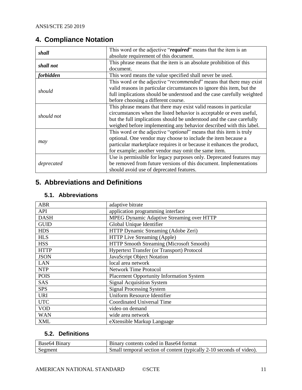## <span id="page-10-0"></span>**4. Compliance Notation**

| shall            | This word or the adjective "required" means that the item is an              |
|------------------|------------------------------------------------------------------------------|
|                  | absolute requirement of this document.                                       |
| shall not        | This phrase means that the item is an absolute prohibition of this           |
|                  | document.                                                                    |
| <i>forbidden</i> | This word means the value specified shall never be used.                     |
|                  | This word or the adjective "recommended" means that there may exist          |
| should           | valid reasons in particular circumstances to ignore this item, but the       |
|                  | full implications should be understood and the case carefully weighted       |
|                  | before choosing a different course.                                          |
|                  | This phrase means that there may exist valid reasons in particular           |
| should not       | circumstances when the listed behavior is acceptable or even useful,         |
|                  | but the full implications should be understood and the case carefully        |
|                  | weighed before implementing any behavior described with this label.          |
|                  | This word or the adjective " <i>optional</i> " means that this item is truly |
|                  | optional. One vendor may choose to include the item because a                |
| may              | particular marketplace requires it or because it enhances the product,       |
|                  | for example; another vendor may omit the same item.                          |
|                  | Use is permissible for legacy purposes only. Deprecated features may         |
| deprecated       | be removed from future versions of this document. Implementations            |
|                  | should avoid use of deprecated features.                                     |

## <span id="page-10-1"></span>**5. Abbreviations and Definitions**

## <span id="page-10-2"></span>**5.1. Abbreviations**

| <b>ABR</b>                               | adaptive bitrate                                |  |
|------------------------------------------|-------------------------------------------------|--|
| <b>API</b>                               | application programming interface               |  |
| <b>DASH</b>                              | MPEG Dynamic Adaptive Streaming over HTTP       |  |
| <b>GUID</b>                              | Global Unique Identifier                        |  |
| <b>HDS</b>                               | HTTP Dynamic Streaming (Adobe Zeri)             |  |
| <b>HLS</b>                               | HTTP Live Streaming (Apple)                     |  |
| <b>HSS</b>                               | HTTP Smooth Streaming (Microsoft Smooth)        |  |
| <b>HTTP</b>                              | Hypertext Transfer (or Transport) Protocol      |  |
| <b>JSON</b>                              | JavaScript Object Notation                      |  |
| <b>LAN</b>                               | local area network                              |  |
| <b>NTP</b>                               | <b>Network Time Protocol</b>                    |  |
| <b>POIS</b>                              | <b>Placement Opportunity Information System</b> |  |
| <b>SAS</b>                               | <b>Signal Acquisition System</b>                |  |
| <b>SPS</b>                               | <b>Signal Processing System</b>                 |  |
| <b>URI</b>                               | <b>Uniform Resource Identifier</b>              |  |
| <b>UTC</b><br>Coordinated Universal Time |                                                 |  |
| <b>VOD</b><br>video on demand            |                                                 |  |
| <b>WAN</b>                               | wide area network                               |  |
| <b>XML</b>                               | eXtensible Markup Language                      |  |

## <span id="page-10-3"></span>**5.2. Definitions**

| Base 64 Binary | Binary contents coded in Base64 format                               |
|----------------|----------------------------------------------------------------------|
| Segment        | Small temporal section of content (typically 2-10 seconds of video). |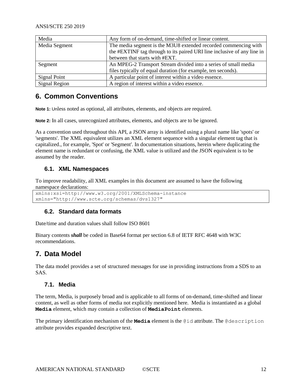| Media         | Any form of on-demand, time-shifted or linear content.                                                                                     |  |
|---------------|--------------------------------------------------------------------------------------------------------------------------------------------|--|
| Media Segment | The media segment is the M3U8 extended recorded commencing with<br>the #EXTINF tag through to its paired URI line inclusive of any line in |  |
|               | between that starts with #EXT.                                                                                                             |  |
| Segment       | An MPEG-2 Transport Stream divided into a series of small media                                                                            |  |
|               | files typically of equal duration (for example, ten seconds).                                                                              |  |
| Signal Point  | A particular point of interest within a video essence.                                                                                     |  |
| Signal Region | A region of interest within a video essence.                                                                                               |  |

## <span id="page-11-0"></span>**6. Common Conventions**

**Note 1:** Unless noted as optional, all attributes, elements, and objects are required.

**Note 2:** In all cases, unrecognized attributes, elements, and objects are to be ignored.

As a convention used throughout this API, a JSON array is identified using a plural name like 'spots' or 'segments'. The XML equivalent utilizes an XML element sequence with a singular element tag that is capitalized., for example, 'Spot' or 'Segment'. In documentation situations, herein where duplicating the element name is redundant or confusing, the XML value is utilized and the JSON equivalent is to be assumed by the reader.

## <span id="page-11-1"></span>**6.1. XML Namespaces**

To improve readability, all XML examples in this document are assumed to have the following namespace declarations:

```
xmlns:xsi=http://www.w3.org/2001/XMLSchema-instance
xmlns="http://www.scte.org/schemas/dvs1327"
```
## <span id="page-11-2"></span>**6.2. Standard data formats**

Date/time and duration values shall follow ISO 8601

Binary contents *shall* be coded in Base64 format per section 6.8 of IETF RFC 4648 with W3C recommendations.

## <span id="page-11-3"></span>**7. Data Model**

The data model provides a set of structured messages for use in providing instructions from a SDS to an SAS.

## <span id="page-11-4"></span>**7.1. Media**

The term, Media, is purposely broad and is applicable to all forms of on-demand, time-shifted and linear content, as well as other forms of media not explicitly mentioned here. Media is instantiated as a global **Media** element, which may contain a collection of **MediaPoint** elements.

The primary identification mechanism of the **Media** element is the @id attribute. The @description attribute provides expanded descriptive text.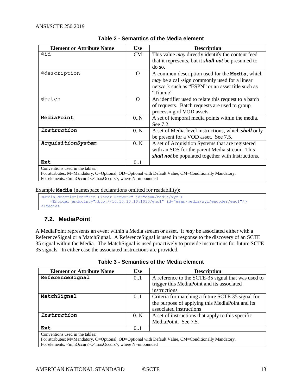<span id="page-12-1"></span>

| <b>Element or Attribute Name</b>                                                                     | <b>Use</b> | <b>Description</b>                                         |  |
|------------------------------------------------------------------------------------------------------|------------|------------------------------------------------------------|--|
| @id                                                                                                  | CM         | This value <i>may</i> directly identify the content feed   |  |
|                                                                                                      |            | that it represents, but it <i>shall not</i> be presumed to |  |
|                                                                                                      |            | do so.                                                     |  |
| Cdescription                                                                                         | $\Omega$   | A common description used for the <b>Media</b> , which     |  |
|                                                                                                      |            | <i>may</i> be a call-sign commonly used for a linear       |  |
|                                                                                                      |            | network such as "ESPN" or an asset title such as           |  |
|                                                                                                      |            | "Titanic".                                                 |  |
| Chatch                                                                                               | $\Omega$   | An identifier used to relate this request to a batch       |  |
|                                                                                                      |            | of requests. Batch requests are used to group              |  |
|                                                                                                      |            | processing of VOD assets.                                  |  |
| MediaPoint                                                                                           | 0.N        | A set of temporal media points within the media.           |  |
|                                                                                                      |            | See 7.2.                                                   |  |
| Instruction                                                                                          | 0.N        | A set of Media-level instructions, which shall only        |  |
|                                                                                                      |            | be present for a VOD asset. See 7.5.                       |  |
| AcquisitionSystem                                                                                    | 0.N        | A set of Acquisition Systems that are registered           |  |
|                                                                                                      |            | with an SDS for the parent Media stream. This              |  |
|                                                                                                      |            | shall not be populated together with Instructions.         |  |
| Ext                                                                                                  | 0.1        |                                                            |  |
| Conventions used in the tables:                                                                      |            |                                                            |  |
| For attributes: M=Mandatory, O=Optional, OD=Optional with Default Value, CM=Conditionally Mandatory. |            |                                                            |  |

#### **Table 2 - Semantics of the Media element**

For elements: <minOccurs>..<maxOccurs>, where N=unbounded

Example **Media** (namespace declarations omitted for readability):

<Media description="XYZ Linear Network" id="esam/media/xyz"> <Encoder endpoint="http://10.10.10.10:1010/enc1" id="esam/media/xyz/encoder/enc1"/> </Media>

## <span id="page-12-0"></span>**7.2. MediaPoint**

A MediaPoint represents an event within a Media stream or asset. It *may* be associated either with a ReferenceSignal or a MatchSignal. A ReferenceSignal is used in response to the discovery of an SCTE 35 signal within the Media. The MatchSignal is used proactively to provide instructions for future SCTE 35 signals. In either case the associated instructions are provided.

<span id="page-12-2"></span>

| <b>Element or Attribute Name</b>                                                                     | <b>Use</b> | <b>Description</b>                                 |  |
|------------------------------------------------------------------------------------------------------|------------|----------------------------------------------------|--|
| ReferenceSignal                                                                                      | 0.1        | A reference to the SCTE-35 signal that was used to |  |
|                                                                                                      |            | trigger this MediaPoint and its associated         |  |
|                                                                                                      |            | instructions                                       |  |
| MatchSignal                                                                                          | 0.1        | Criteria for matching a future SCTE 35 signal for  |  |
|                                                                                                      |            | the purpose of applying this MediaPoint and its    |  |
|                                                                                                      |            | associated instructions                            |  |
| Instruction                                                                                          | 0.N        | A set of instructions that apply to this specific  |  |
|                                                                                                      |            | MediaPoint. See 7.5.                               |  |
| Ext                                                                                                  | 0.1        |                                                    |  |
| Conventions used in the tables:                                                                      |            |                                                    |  |
| For attributes: M=Mandatory, O=Optional, OD=Optional with Default Value, CM=Conditionally Mandatory. |            |                                                    |  |
| For elements: <minoccurs><maxoccurs>, where N=unbounded</maxoccurs></minoccurs>                      |            |                                                    |  |

| Table 3 - Semantics of the Media element |  |
|------------------------------------------|--|
|------------------------------------------|--|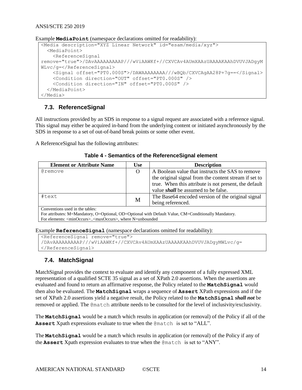```
 <Condition direction="OUT" offset="PT0.000S" />
  <Condition direction="IN" offset="PT0.000S" />
 </MediaPoint>
```
<span id="page-13-0"></span></Media>

<MediaPoint>

<ReferenceSignal

WLvc/g=</ReferenceSignal>

ANSI/SCTE 250 2019

**7.3. ReferenceSignal**

All instructions provided by an SDS in response to a signal request are associated with a reference signal. This signal may either be acquired in-band from the underlying content or initiated asynchronously by the SDS in response to a set of out-of-band break points or some other event.

remove="true">/DAvAAAAAAAAAP///wViAAWKf+//CXVCAv4AUmXAAzUAAAAKAAhDVUVJADgyM

<Signal offset="PT0.000S">/DAWAAAAAAAA///wBQb/CXVCAgAA28P+7g==</Signal>

<span id="page-13-2"></span>A ReferenceSignal has the following attributes:

|  | Table 4 - Semantics of the ReferenceSignal element |  |
|--|----------------------------------------------------|--|
|  |                                                    |  |

| <b>Element or Attribute Name</b>                                                                     | <b>Use</b> | <b>Description</b>                                    |  |
|------------------------------------------------------------------------------------------------------|------------|-------------------------------------------------------|--|
| Cremove                                                                                              | O          | A Boolean value that instructs the SAS to remove      |  |
|                                                                                                      |            | the original signal from the content stream if set to |  |
|                                                                                                      |            | true. When this attribute is not present, the default |  |
|                                                                                                      |            | value <i>shall</i> be assumed to be false.            |  |
| #text                                                                                                |            | The Base64 encoded version of the original signal     |  |
|                                                                                                      | M          | being referenced.                                     |  |
| Conventions used in the tables:                                                                      |            |                                                       |  |
| For attributes: M=Mandatory, O=Optional, OD=Optional with Default Value, CM=Conditionally Mandatory. |            |                                                       |  |
| For elements: <minoccurs><maxoccurs>, where N=unbounded</maxoccurs></minoccurs>                      |            |                                                       |  |

Example **ReferenceSignal** (namespace declarations omitted for readability):

Example **MediaPoint** (namespace declarations omitted for readability):

<Media description="XYZ Linear Network" id="esam/media/xyz">

```
<ReferenceSignal remove="true">
/DAvAAAAAAAAAP///wViAAWKf+//CXVCAv4AUmXAAzUAAAAKAAhDVUVJADgyMWLvc/g=
</ReferenceSignal>
```
## <span id="page-13-1"></span>**7.4. MatchSignal**

MatchSignal provides the context to evaluate and identify any component of a fully expressed XML representation of a qualified SCTE 35 signal as a set of XPath 2.0 assertions. When the assertions are evaluated and found to return an affirmative response, the Policy related to the **MatchSignal** would then also be evaluated. The **MatchSignal** wraps a sequence of **Assert** XPath expressions and if the set of XPath 2.0 assertions yield a negative result, the Policy related to the **MatchSignal** *shall not* be removed or applied. The @match attribute needs to be consulted for the level of inclusivity/exclusivity.

The **MatchSignal** would be a match which results in application (or removal) of the Policy if all of the **Assert** Xpath expressions evaluate to true when the @match is set to "ALL".

The **MatchSignal** would be a match which results in application (or removal) of the Policy if any of the **Assert** Xpath expression evaluates to true when the @match is set to "ANY".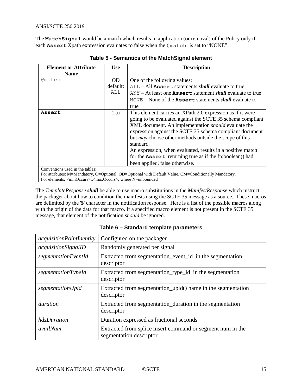<span id="page-14-0"></span>The **MatchSignal** would be a match which results in application (or removal) of the Policy only if each **Assert** Xpath expression evaluates to false when the @match is set to "NONE".

| <b>Element or Attribute</b>                                                     | <b>Use</b>  | <b>Description</b>                                                                                                                                                                                                                                                                                                                                                                                                                                                                     |
|---------------------------------------------------------------------------------|-------------|----------------------------------------------------------------------------------------------------------------------------------------------------------------------------------------------------------------------------------------------------------------------------------------------------------------------------------------------------------------------------------------------------------------------------------------------------------------------------------------|
| <b>Name</b>                                                                     |             |                                                                                                                                                                                                                                                                                                                                                                                                                                                                                        |
| <b>@match</b>                                                                   | OD.         | One of the following values:                                                                                                                                                                                                                                                                                                                                                                                                                                                           |
|                                                                                 | default:    | $ALL - All$ Assert statements <i>shall</i> evaluate to true                                                                                                                                                                                                                                                                                                                                                                                                                            |
|                                                                                 | ALL         | $ANY - At least one Asset statement shall evaluate to true$                                                                                                                                                                                                                                                                                                                                                                                                                            |
|                                                                                 |             | $NONE - None$ of the <b>Assert</b> statements <i>shall</i> evaluate to                                                                                                                                                                                                                                                                                                                                                                                                                 |
|                                                                                 |             | true                                                                                                                                                                                                                                                                                                                                                                                                                                                                                   |
| Assert                                                                          | $1 \dots n$ | This element carries an XPath 2.0 expression as if it were<br>going to be evaluated against the SCTE 35 schema compliant<br>XML document. An implementation should evaluate the<br>expression against the SCTE 35 schema compliant document<br>but <i>may</i> choose other methods outside the scope of this<br>standard.<br>An expression, when evaluated, results in a positive match<br>for the Assert, returning true as if the fn:boolean() had<br>been applied, false otherwise. |
| Conventions used in the tables:                                                 |             |                                                                                                                                                                                                                                                                                                                                                                                                                                                                                        |
|                                                                                 |             | For attributes: M=Mandatory, O=Optional, OD=Optional with Default Value, CM=Conditionally Mandatory.                                                                                                                                                                                                                                                                                                                                                                                   |
| For elements: <minoccurs><maxoccurs>, where N=unbounded</maxoccurs></minoccurs> |             |                                                                                                                                                                                                                                                                                                                                                                                                                                                                                        |

**Table 5 - Semantics of the MatchSignal element**

The *TemplateResponse shall* be able to use macro substitutions in the *ManifestResponse* which instruct the packager about how to condition the manifests using the SCTE 35 message as a source. These macros are delimited by the '\$' character in the notification response. Here is a list of the possible macros along with the origin of the data for that macro. If a specified macro element is not present in the SCTE 35 message, that element of the notification *should* be ignored.

<span id="page-14-1"></span>

| <i>acquisitionPointIdentity</i> | Configured on the packager                                                            |
|---------------------------------|---------------------------------------------------------------------------------------|
| acquisitionSignalID             | Randomly generated per signal                                                         |
| segmentationEventId             | Extracted from segmentation_event_id in the segmentation<br>descriptor                |
| segmentationTypeId              | Extracted from segmentation_type_id in the segmentation<br>descriptor                 |
| segmentationUpid                | Extracted from segmentation_upid() name in the segmentation<br>descriptor             |
| duration                        | Extracted from segmentation_duration in the segmentation<br>descriptor                |
| hdsDuration                     | Duration expressed as fractional seconds                                              |
| availNum                        | Extracted from splice insert command or segment num in the<br>segmentation descriptor |

**Table 6 – Standard template parameters**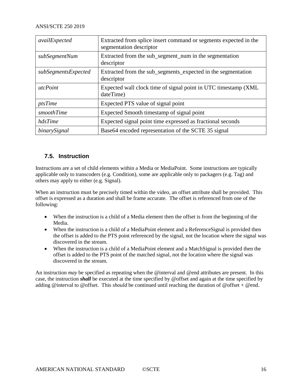| availExpected       | Extracted from splice insert command or segments expected in the<br>segmentation descriptor |
|---------------------|---------------------------------------------------------------------------------------------|
| subSegmentNum       | Extracted from the sub_segment_num in the segmentation<br>descriptor                        |
| subSegmentsExpected | Extracted from the sub_segments_expected in the segmentation<br>descriptor                  |
| utcPoint            | Expected wall clock time of signal point in UTC timestamp (XML)<br>dateTime)                |
| ptsTime             | Expected PTS value of signal point                                                          |
| smoothTime          | Expected Smooth timestamp of signal point                                                   |
| hdsTime             | Expected signal point time expressed as fractional seconds                                  |
| binarySignal        | Base 64 encoded representation of the SCTE 35 signal                                        |

## <span id="page-15-0"></span>**7.5. Instruction**

Instructions are a set of child elements within a Media or MediaPoint. Some instructions are typically applicable only to transcoders (e.g. Condition), some are applicable only to packagers (e.g. Tag) and others may apply to either (e.g. Signal).

When an instruction must be precisely timed within the video, an offset attribute shall be provided. This offset is expressed as a duration and shall be frame accurate. The offset is referenced from one of the following:

- When the instruction is a child of a Media element then the offset is from the beginning of the Media.
- When the instruction is a child of a MediaPoint element and a Reference Signal is provided then the offset is added to the PTS point referenced by the signal, not the location where the signal was discovered in the stream.
- When the instruction is a child of a MediaPoint element and a MatchSignal is provided then the offset is added to the PTS point of the matched signal, not the location where the signal was discovered in the stream.

An instruction *may* be specified as repeating when the @interval and @end attributes are present. In this case, the instruction *shall* be executed at the time specified by @offset and again at the time specified by adding @interval to @offset. This *should* be continued until reaching the duration of @offset + @end.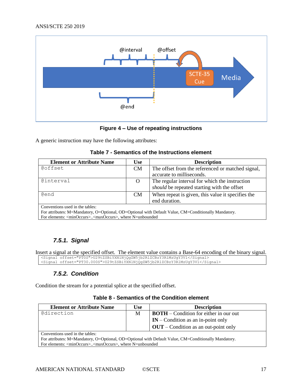

#### **Figure 4 – Use of repeating instructions**

<span id="page-16-3"></span><span id="page-16-2"></span>A generic instruction may have the following attributes:

| Table 7 - Semantics of the Instructions element |  |  |
|-------------------------------------------------|--|--|
|-------------------------------------------------|--|--|

| <b>Element or Attribute Name</b>                                                                     | Use       | <b>Description</b>                                 |  |
|------------------------------------------------------------------------------------------------------|-----------|----------------------------------------------------|--|
| Coffset                                                                                              | <b>CM</b> | The offset from the referenced or matched signal,  |  |
|                                                                                                      |           | accurate to milliseconds.                          |  |
| Cinterval                                                                                            | O         | The regular interval for which the instruction     |  |
|                                                                                                      |           | <i>should</i> be repeated starting with the offset |  |
| Cend                                                                                                 | <b>CM</b> | When repeat is given, this value it specifies the  |  |
|                                                                                                      |           | end duration.                                      |  |
| Conventions used in the tables:                                                                      |           |                                                    |  |
| For attributes: M=Mandatory, O=Optional, OD=Optional with Default Value, CM=Conditionally Mandatory. |           |                                                    |  |
| For elements: <minoccurs><maxoccurs>, where N=unbounded</maxoccurs></minoccurs>                      |           |                                                    |  |

## *7.5.1. Signal*

<span id="page-16-1"></span><span id="page-16-0"></span>Insert a signal at the specified offset. The element value contains a Base-64 encoding of the binary signal. <Signal offset="PT0S">U29tZSBiYXNlNjQgZW5jb2RlZCBzY3RlMzUgY3Vl</Signal> <Signal offset="PT30.000S">U29tZSBiYXNlNjQgZW5jb2RlZCBzY3RlMzUgY3Vl</Signal>

## *7.5.2. Condition*

<span id="page-16-4"></span>Condition the stream for a potential splice at the specified offset.

#### **Table 8 - Semantics of the Condition element**

| <b>Element or Attribute Name</b>                                                                     | <b>Use</b> | <b>Description</b>                            |  |
|------------------------------------------------------------------------------------------------------|------------|-----------------------------------------------|--|
| Cdirection                                                                                           | M          | <b>BOTH</b> – Condition for either in our out |  |
|                                                                                                      |            | $IN$ – Condition as an in-point only          |  |
|                                                                                                      |            | $OUT$ – Condition as an out-point only        |  |
| Conventions used in the tables:                                                                      |            |                                               |  |
| For attributes: M=Mandatory, O=Optional, OD=Optional with Default Value, CM=Conditionally Mandatory. |            |                                               |  |
| For elements: <minoccurs><maxoccurs>, where N=unbounded</maxoccurs></minoccurs>                      |            |                                               |  |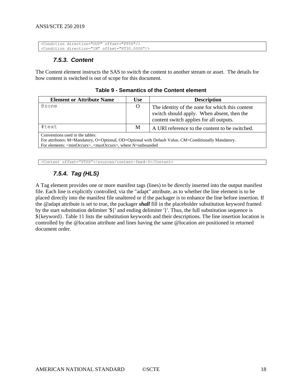```
<Condition direction="OUT" offset="PT0S"/>
<Condition direction="IN" offset="PT30.000S"/>
```
## *7.5.3. Content*

<span id="page-17-2"></span>The Content element instructs the SAS to switch the content to another stream or asset. The details for how content is switched is out of scope for this document.

**Table 9 - Semantics of the Content element**

| <b>Element or Attribute Name</b>                                                                                                                                                                                           | <b>Use</b> | <b>Description</b>                                                                                                                       |
|----------------------------------------------------------------------------------------------------------------------------------------------------------------------------------------------------------------------------|------------|------------------------------------------------------------------------------------------------------------------------------------------|
| @zone                                                                                                                                                                                                                      | O          | The identity of the zone for which this content<br>switch should apply. When absent, then the<br>content switch applies for all outputs. |
| #text                                                                                                                                                                                                                      | M          | A URI reference to the content to be switched.                                                                                           |
| Conventions used in the tables:<br>For attributes: M=Mandatory, O=Optional, OD=Optional with Default Value, CM=Conditionally Mandatory.<br>For elements: <minoccurs><maxoccurs>, where N=unbounded</maxoccurs></minoccurs> |            |                                                                                                                                          |

<span id="page-17-1"></span><Content offset="PT0S">/sources/content-feed-3</Content>

## *7.5.4. Tag (HLS)*

A Tag element provides one or more manifest tags (lines) to be directly inserted into the output manifest file. Each line is explicitly controlled, via the "adapt" attribute, as to whether the line element is to be placed directly into the manifest file unaltered or if the packager is to enhance the line before insertion. If the @adapt attribute is set to true, the packager *shall* fill in the placeholder substitution keyword framed by the start substitution delimiter '\${' and ending delimiter '}'. Thus, the full substitution sequence is \${keyword}. [Table](#page-19-1) 11 lists the substitution keywords and their descriptions. The line insertion location is controlled by the @location attribute and lines having the same @location are positioned in returned document order.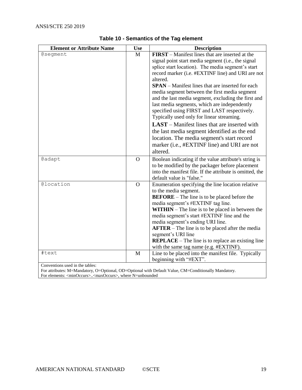<span id="page-18-0"></span>

| <b>Element or Attribute Name</b>                                                | <b>Use</b>     | <b>Description</b>                                                                                   |  |
|---------------------------------------------------------------------------------|----------------|------------------------------------------------------------------------------------------------------|--|
| <b>@seqment</b>                                                                 | M              | <b>FIRST</b> – Manifest lines that are inserted at the                                               |  |
|                                                                                 |                | signal point start media segment (i.e., the signal                                                   |  |
|                                                                                 |                | splice start location). The media segment's start                                                    |  |
|                                                                                 |                | record marker (i.e. #EXTINF line) and URI are not                                                    |  |
|                                                                                 |                | altered.                                                                                             |  |
|                                                                                 |                | <b>SPAN</b> – Manifest lines that are inserted for each                                              |  |
|                                                                                 |                | media segment between the first media segment                                                        |  |
|                                                                                 |                | and the last media segment, excluding the first and                                                  |  |
|                                                                                 |                | last media segments, which are independently                                                         |  |
|                                                                                 |                | specified using FIRST and LAST respectively.                                                         |  |
|                                                                                 |                | Typically used only for linear streaming.                                                            |  |
|                                                                                 |                | <b>LAST</b> – Manifest lines that are inserted with                                                  |  |
|                                                                                 |                | the last media segment identified as the end                                                         |  |
|                                                                                 |                | location. The media segment's start record                                                           |  |
|                                                                                 |                | marker (i.e., #EXTINF line) and URI are not                                                          |  |
|                                                                                 |                | altered.                                                                                             |  |
| <b>@adapt</b>                                                                   | $\overline{O}$ | Boolean indicating if the value attribute's string is                                                |  |
|                                                                                 |                | to be modified by the packager before placement                                                      |  |
|                                                                                 |                | into the manifest file. If the attribute is omitted, the                                             |  |
|                                                                                 |                | default value is "false."                                                                            |  |
| @location                                                                       | $\Omega$       | Enumeration specifying the line location relative                                                    |  |
|                                                                                 |                | to the media segment.                                                                                |  |
|                                                                                 |                | <b>BEFORE</b> – The line is to be placed before the                                                  |  |
|                                                                                 |                | media segment's #EXTINF tag line.                                                                    |  |
|                                                                                 |                | $WITHIN - The line is to be placed in between the$                                                   |  |
|                                                                                 |                | media segment's start #EXTINF line and the                                                           |  |
|                                                                                 |                | media segment's ending URI line.                                                                     |  |
|                                                                                 |                | $A$ <b>FTER</b> – The line is to be placed after the media                                           |  |
|                                                                                 |                | segment's URI line                                                                                   |  |
|                                                                                 |                | <b>REPLACE</b> – The line is to replace an existing line                                             |  |
|                                                                                 |                | with the same tag name (e.g. #EXTINF).                                                               |  |
| #text                                                                           | $\mathbf{M}$   | Line to be placed into the manifest file. Typically                                                  |  |
|                                                                                 |                | beginning with "#EXT".                                                                               |  |
| Conventions used in the tables:                                                 |                |                                                                                                      |  |
| For elements: <minoccurs><maxoccurs>, where N=unbounded</maxoccurs></minoccurs> |                | For attributes: M=Mandatory, O=Optional, OD=Optional with Default Value, CM=Conditionally Mandatory. |  |
|                                                                                 |                |                                                                                                      |  |

## **Table 10 - Semantics of the Tag element**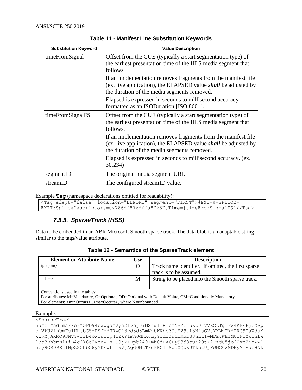<span id="page-19-1"></span>

| <b>Substitution Keyword</b> | <b>Value Description</b>                                                                                                                                                              |
|-----------------------------|---------------------------------------------------------------------------------------------------------------------------------------------------------------------------------------|
| timeFromSignal              | Offset from the CUE (typically a start segmentation type) of<br>the earliest presentation time of the HLS media segment that<br>follows.                                              |
|                             | If an implementation removes fragments from the manifest file<br>(ex. live application), the ELAPSED value <i>shall</i> be adjusted by<br>the duration of the media segments removed. |
|                             | Elapsed is expressed in seconds to millisecond accuracy<br>formatted as an ISODuration [ISO 8601].                                                                                    |
| timeFromSignalFS            | Offset from the CUE (typically a start segmentation type) of<br>the earliest presentation time of the HLS media segment that<br>follows.                                              |
|                             | If an implementation removes fragments from the manifest file<br>(ex. live application), the ELAPSED value <i>shall</i> be adjusted by<br>the duration of the media segments removed. |
|                             | Elapsed is expressed in seconds to millisecond accuracy. (ex.<br>30.234)                                                                                                              |
| segmentID                   | The original media segment URI.                                                                                                                                                       |
| streamID                    | The configured streamID value.                                                                                                                                                        |

**Table 11 - Manifest Line Substitution Keywords**

Example **Tag** (namespace declarations omitted for readability):

```
<Tag adapt="false" location="BEFORE" segment="FIRST">#EXT-X-SPLICE-
EXIT:SpliceDescriptors=0x786df876dffa87687,Time={timeFromSignalFS}</Tag>
```
## *7.5.5. SparseTrack (HSS)*

<span id="page-19-2"></span>Data to be embedded in an ABR Microsoft Smooth sparse track. The data blob is an adaptable string similar to the tags/value attribute.

| <b>Element or Attribute Name</b>                                                | <b>Use</b> | <b>Description</b>                                                                                   |
|---------------------------------------------------------------------------------|------------|------------------------------------------------------------------------------------------------------|
| Cname                                                                           | O          | Track name identifier. If omitted, the first sparse                                                  |
|                                                                                 |            | track is to be assumed.                                                                              |
| #text                                                                           | M          | String to be placed into the Smooth sparse track.                                                    |
|                                                                                 |            |                                                                                                      |
| Conventions used in the tables:                                                 |            |                                                                                                      |
|                                                                                 |            | For attributes: M=Mandatory, O=Optional, OD=Optional with Default Value, CM=Conditionally Mandatory. |
| For elements: <minoccurs><maxoccurs>, where N=unbounded</maxoccurs></minoccurs> |            |                                                                                                      |
|                                                                                 |            |                                                                                                      |

| Table 12 - Semantics of the SparseTrack element |  |  |  |
|-------------------------------------------------|--|--|--|
|-------------------------------------------------|--|--|--|

Example:

<SparseTrack

name="ad\_marker">PD94bWwgdmVyc2lvbj0iMS4wIiBlbmNvZGluZz0iVVRGLTgiPz4KPEFjcXVp cmVkU2lnbmFsIHhtbG5zPSJodHRwOi8vd3d3LmNvbWNhc3QuY29tL3NjaGVtYXMvTkdPRC9TaWduY WwvMjAxMC9SMVYwIiB4bWxuczp4c2k9Imh0dHA6Ly93d3cudzMub3JnLzIwMDEvWE1MU2NoZW1hLW luc3RhbmNlIiB4c2k6c2NoZW1hTG9jYXRpb249Imh0dHA6Ly93d3cuY29tY2FzdC5jb20vc2NoZW1 hcy9OR09EL1NpZ25hbC8yMDEwL1IxVjAgQ0MtTkdPRC1TSUdOQUxJTkctUjFWMC0xMDEyMTAueHNk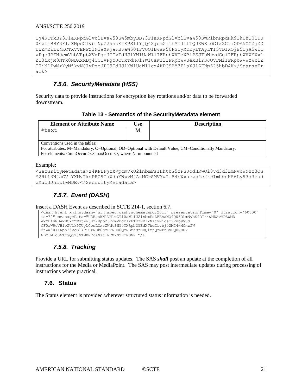#### ANSI/SCTE 250 2019

Ij4KCTxBY3F1aXNpdGlvblBvaW50SW5mbyBBY3F1aXNpdGlvblBvaW50SWRlbnRpdHk9IkUhQ01DU 0EzIiBBY3F1aXNpdGlvblNpZ25hbElEPSI1YjQ4ZjdmZi1hMTJlLTQ0ZWEtOGIxZC1iODA5OGZjZD EwZmEiLz4KCTxVVENPZlN3aXRjaFBvaW50IFVUQ1BvaW50PSIyMDEyLTAyLTI5VDIxOjE5OjA5WiI vPgoJPFN0cmVhbVRpbWVzPgoJCTxTdHJlYW1UaW1lIFRpbWVUeXBlPSJTbW9vdGgiIFRpbWVWYWx1 ZT0iMjM3NTk0NDAxMDg4OCIvPgoJCTxTdHJlYW1UaW1lIFRpbWVUeXBlPSJQVFMiIFRpbWVWYWx1Z T0iNDIwMzYyNjkxNCIvPgoJPC9TdHJlYW1UaW1lcz4KPC9BY3F1aXJlZFNpZ25hbD4K</SparseTr ack>

## *7.5.6. SecurityMetadata (HSS)*

<span id="page-20-4"></span><span id="page-20-0"></span>Security data to provide instructions for encryption key rotations and/or data to be forwarded downstream.

#### **Table 13 - Semantics of the SecurityMetadata element**

| <b>Element or Attribute Name</b>                                                                     | Use | <b>Description</b> |  |  |
|------------------------------------------------------------------------------------------------------|-----|--------------------|--|--|
| #text                                                                                                | M   |                    |  |  |
|                                                                                                      |     |                    |  |  |
| Conventions used in the tables:                                                                      |     |                    |  |  |
| For attributes: M=Mandatory, O=Optional, OD=Optional with Default Value, CM=Conditionally Mandatory. |     |                    |  |  |
| For elements: <minoccurs><maxoccurs>, where N=unbounded</maxoccurs></minoccurs>                      |     |                    |  |  |

Example:

```
<SecurityMetadata>z4KPEFjcXVpcmVkU2lnbmFsIHhtbG5zPSJodHRwOi8vd3d3LmNvbWNhc3Qu
Y29tL3NjaGVtYXMvTkdPRC9TaWduYWwvMjAxMC9SMVYwIiB4bWxuczp4c2k9Imh0dHA6Ly93d3cud
zMub3JnLzIwMDEv</SecruityMetadata>
```
## *7.5.7. Event (DASH)*

```
Insert a DASH Event as described in SCTE 214-1, section 6.7.
```

```
<dash:Event xmlns:dash="urn:mpeg:dash:schema:mpd:2011" presentationTime="0" duration="60000" 
id="0" messageData="U3BsaWNlVHlwZT10aW1lU2lnbmFsLFBhaWQ9Q05OLmNvbS9DTk4wMDAwMDAwMD 
AwMDAwMDAwMCxzZWdtZW50YXRpb25FdmVudElkPTEzNDIxNzcyNjcsc2VnbWVud 
GF0aW9uVHlwZUlkPTUyLCwsLCxzZWdtZW50YXRpb25EdXJhdGlvbj02MC4wMCxzZW 
dtZW50YXRpb25VcGlkPTUzNDk0NzRFNDE0QzNBMzMzNDQ1MzQzMzZBNDQ0NDUx 
NDY3MTc5NTcyQjY3NTM0NTczNzc1NTM2NTEzRDNE "/>
```
## *7.5.8. Tracking*

<span id="page-20-2"></span>Provide a URL for submitting status updates. The SAS *shall* post an update at the completion of all instructions for the Media or MediaPoint. The SAS may post intermediate updates during processing of instructions where practical.

## <span id="page-20-3"></span>**7.6. Status**

The Status element is provided wherever structured status information is needed.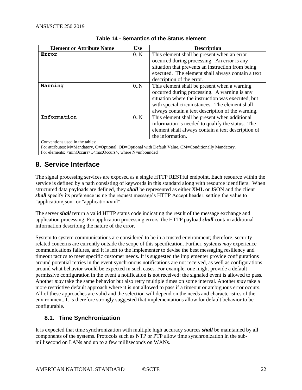<span id="page-21-2"></span>

| <b>Element or Attribute Name</b> | <b>Use</b> | <b>Description</b>                                 |
|----------------------------------|------------|----------------------------------------------------|
| Error                            | 0.N        | This element shall be present when an error        |
|                                  |            | occurred during processing. An error is any        |
|                                  |            | situation that prevents an instruction from being  |
|                                  |            | executed. The element shall always contain a text  |
|                                  |            | description of the error.                          |
| Warning                          | 0.N        | This element shall be present when a warning       |
|                                  |            | occurred during processing. A warning is any       |
|                                  |            | situation where the instruction was executed, but  |
|                                  |            | with special circumstances. The element shall      |
|                                  |            | always contain a text description of the warning.  |
| Information                      | 0.N        | This element shall be present when additional      |
|                                  |            | information is needed to qualify the status. The   |
|                                  |            | element shall always contain a text description of |
|                                  |            | the information.                                   |
| Conventions used in the tables:  |            |                                                    |

#### **Table 14 - Semantics of the Status element**

For attributes: M=Mandatory, O=Optional, OD=Optional with Default Value, CM=Conditionally Mandatory. For elements: <minOccurs>..<maxOccurs>, where N=unbounded

## <span id="page-21-0"></span>**8. Service Interface**

The signal processing services are exposed as a single HTTP RESTful endpoint. Each resource within the service is defined by a path consisting of keywords in this standard along with resource identifiers. When structured data payloads are defined, they *shall* be represented as either XML or JSON and the client *shall* specify its preference using the request message's HTTP Accept header, setting the value to "application/json" or "application/xml".

The server *shall* return a valid HTTP status code indicating the result of the message exchange and application processing. For application processing errors, the HTTP payload *shall* contain additional information describing the nature of the error.

System to system communications are considered to be in a trusted environment; therefore, securityrelated concerns are currently outside the scope of this specification. Further, systems *may* experience communications failures, and it is left to the implementer to devise the best messaging resiliency and timeout tactics to meet specific customer needs. It is suggested the implementer provide configurations around potential retries in the event synchronous notifications are not received, as well as configurations around what behavior would be expected in such cases. For example, one might provide a default permissive configuration in the event a notification is not received: the signaled event is allowed to pass. Another *may* take the same behavior but also retry multiple times on some interval. Another *may* take a more restrictive default approach where it is not allowed to pass if a timeout or ambiguous error occurs. All of these approaches are valid and the selection will depend on the needs and characteristics of the environment. It is therefore strongly suggested that implementations allow for default behavior to be configurable.

## <span id="page-21-1"></span>**8.1. Time Synchronization**

It is expected that time synchronization with multiple high accuracy sources *shall* be maintained by all components of the systems. Protocols such as NTP or PTP allow time synchronization in the submillisecond on LANs and up to a few milliseconds on WANs.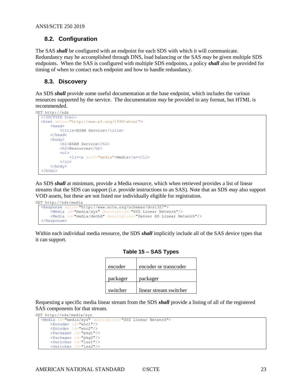## <span id="page-22-0"></span>**8.2. Configuration**

The SAS *shall* be configured with an endpoint for each SDS with which it will communicate. Redundancy may be accomplished through DNS, load balancing or the SAS *may* be given multiple SDS endpoints. When the SAS is configured with multiple SDS endpoints, a policy *shall* also be provided for timing of when to contact each endpoint and how to handle redundancy.

## <span id="page-22-1"></span>**8.3. Discovery**

An SDS *shall* provide some useful documentation at the base endpoint, which includes the various resources supported by the service. The documentation *may* be provided in any format, but HTML is recommended.

```
GET http://sds
  <!DOCTYPE html>
  <html xmlns="http://www.w3.org/1999/xhtml">
      <head>
          <title>ESAM Service</title>
      </head>
      <body>
           <h1>ESAM Service</h1>
           <h2>Resources</h2>
           <ul>
              <li><a href="media">Media</a></li>
          \langle/ul>
      </body>
  \langle/html>
```
An SDS *shall* at minimum, provide a Media resource, which when retrieved provides a list of linear streams that the SDS can support (i.e. provide instructions to an SAS). Note that an SDS *may* also support VOD assets, but these are not listed nor individually eligible for registration.

```
GET http://sds/media
  <Response xmlns="http://www.scte.org/schemas/dvs1327">
      <Media id="media/xyz" description="XYZ Linear Network"/>
      <Media id="media/denhd" description="Denver HD Linear Network"/>
  </Response>
```
<span id="page-22-2"></span>Within each individual media resource, the SDS *shall* implicitly include all of the SAS device types that it can support.

|  |  |  | Table 15 - SAS Types |
|--|--|--|----------------------|
|--|--|--|----------------------|

| encoder  | encoder or transcoder  |
|----------|------------------------|
| packager | packager               |
| switcher | linear stream switcher |

Requesting a specific media linear stream from the SDS *shall* provide a listing of all of the registered SAS components for that stream.

```
GET http://sds/media/xyz<br>
<Media id="media/xyz"
                           description="XYZ Linear Network">
      <Encoder id="enc1"/>
       <Encoder id="enc2"/>
       <Packager id="pkg1"/>
       <Packager id="pkg2"/>
       <Switcher id="lss1"/>
       <Switcher id="lss2"/>
```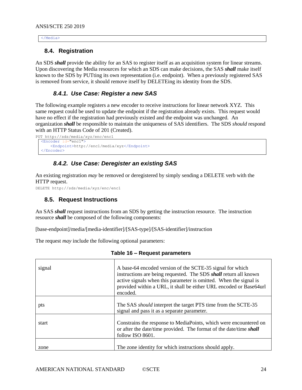#### <span id="page-23-0"></span></Media>

### **8.4. Registration**

An SDS *shall* provide the ability for an SAS to register itself as an acquisition system for linear streams. Upon discovering the Media resources for which an SDS can make decisions, the SAS *shall* make itself known to the SDS by PUTting its own representation (i.e. endpoint). When a previously registered SAS is removed from service, it should remove itself by DELETEing its identity from the SDS.

## *8.4.1. Use Case: Register a new SAS*

<span id="page-23-1"></span>The following example registers a new encoder to receive instructions for linear network XYZ. This same request could be used to update the endpoint if the registration already exists. This request would have no effect if the registration had previously existed and the endpoint was unchanged. An organization *shall* be responsible to maintain the uniqueness of SAS identifiers. The SDS *should* respond with an HTTP Status Code of 201 (Created).

```
PUT http://sds/media/xyz/enc/enc1
  <Encoder id="enc1">
      <Endpoint>http://enc1/media/xyz</Endpoint>
  </Encoder>
```
## *8.4.2. Use Case: Deregister an existing SAS*

<span id="page-23-2"></span>An existing registration *may* be removed or deregistered by simply sending a DELETE verb with the HTTP request.

<span id="page-23-3"></span>DELETE http://sds/media/xyz/enc/enc1

#### **8.5. Request Instructions**

An SAS *shall* request instructions from an SDS by getting the instruction resource. The instruction resource *shall* be composed of the following components:

[base-endpoint]/media/[media-identifier]/[SAS-type]/[SAS-identifier]/instruction

<span id="page-23-4"></span>The request *may* include the following optional parameters:

| signal | A base-64 encoded version of the SCTE-35 signal for which<br>instructions are being requested. The SDS <i>shall</i> return all known<br>active signals when this parameter is omitted. When the signal is<br>provided within a URL, it shall be either URL encoded or Base64url<br>encoded. |
|--------|---------------------------------------------------------------------------------------------------------------------------------------------------------------------------------------------------------------------------------------------------------------------------------------------|
| pts    | The SAS <i>should</i> interpret the target PTS time from the SCTE-35<br>signal and pass it as a separate parameter.                                                                                                                                                                         |
| start  | Constrains the response to MediaPoints, which were encountered on<br>or after the date/time provided. The format of the date/time shall<br>follow ISO 8601.                                                                                                                                 |
| zone   | The zone identity for which instructions should apply.                                                                                                                                                                                                                                      |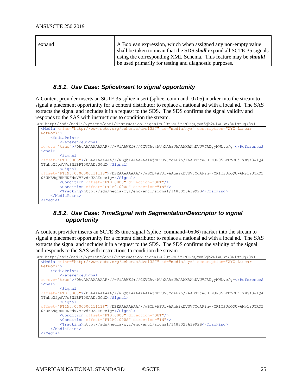| expand | A Boolean expression, which when assigned any non-empty value               |
|--------|-----------------------------------------------------------------------------|
|        | shall be taken to mean that the SDS <i>shall</i> expand all SCTE-35 signals |
|        | using the corresponding XML Schema. This feature may be <i>should</i>       |
|        | be used primarily for testing and diagnostic purposes.                      |

#### *8.5.1. Use Case: SpliceInsert to signal opportunity*

<span id="page-24-0"></span>A Content provider inserts an SCTE 35 splice insert (splice\_command=0x05) marker into the stream to signal a placement opportunity for a content distributor to replace a national ad with a local ad. The SAS extracts the signal and includes it in a request to the SDS. The SDS confirms the signal validity and responds to the SAS with instructions to condition the stream.

```
GET http://sds/media/xyz/enc/enc1/instruction?signal=U29tZSBiYXNlNjQgZW5jb2RlZCBzY3RlMzUgY3Vl
  <Media xmlns="http://www.scte.org/schemas/dvs1327" id="media/xyz" description="XYZ Linear 
  Network">
      <MediaPoint>
         <ReferenceSignal
  remove="true">/DAvAAAAAAAAAP///wViAAWKf+//CXVCAv4AUmXAAzUAAAAKAAhDVUVJADgyMWLvc/g=</ReferenceS
  ignal>
          <Signal
  offset="PT0.000S">/DBLAAAAAAAA///wBQb+AAAAAAA1AjNDVUVJYgAFin//AABSZcAJH1NJR05BTDpEUjIxWjA3WlQ4
  YThhc25pdVVoZWlBPT00AADz3GdX</Signal>
          <Signal
  offset="PT1M0.000000011111S">/DBEAAAAAAAA///wBQb+AFJlwAAuAixDVUVJYgAFin+/CR1TSUdOQUw6My1zUTROZ
  0ZUME9qUHNHNFdxVVFvdzUAAEukzlg=</Signal>
         <Condition offset="PT0.000S" direction="OUT"/>
          <Condition offset="PT1M0.000S" direction="IN"/>
         <Tracking>http://sds/media/xyz/enc/enc1/signal/1483023A3992B</Tracking>
      </MediaPoint>
  </Media>
```
## <span id="page-24-1"></span>*8.5.2. Use Case: TimeSignal with SegmentationDescriptor to signal opportunity*

A content provider inserts an SCTE 35 time signal (splice\_command=0x06) marker into the stream to signal a placement opportunity for a content distributor to replace a national ad with a local ad. The SAS extracts the signal and includes it in a request to the SDS. The SDS confirms the validity of the signal and responds to the SAS with instructions to condition the stream.

```
GET http://sds/media/xyz/enc/enc1/instruction?signal=U29tZSBiYXNlNjQgZW5jb2RlZCBzY3RlMzUgY3Vl
  <Media xmlns="http://www.scte.org/schemas/dvs1327" id="media/xyz" description="XYZ Linear 
  Network">
     <MediaPoint>
         <ReferenceSignal
  remove="true">/DAvAAAAAAAAAP///wViAAWKf+//CXVCAv4AUmXAAzUAAAAKAAhDVUVJADgyMWLvc/g=</ReferenceS
  ignal>
          <Signal
  offset="PT0.000S">/DBLAAAAAAAA///wBQb+AAAAAAA1AjNDVUVJYgAFin//AABSZcAJH1NJR05BTDpEUjIxWjA3WlQ4
  YThhc25pdVVoZWlBPT00AADz3GdX</Signal>
         <Signal
  offset="PT1M0.000000011111S">/DBEAAAAAAAA///wBQb+AFJlwAAuAixDVUVJYgAFin+/CR1TSUdOQUw6My1zUTROZ
  0ZUME9qUHNHNFdxVVFvdzUAAEukzlg=</Signal>
          <Condition offset="PT0.000S" direction="OUT"/>
         <Condition offset="PT1M0.000S" direction="IN"/>
         <Tracking>http://sds/media/xyz/enc/enc1/signal/1483023A3992B</Tracking>
      </MediaPoint>
  </Media>
```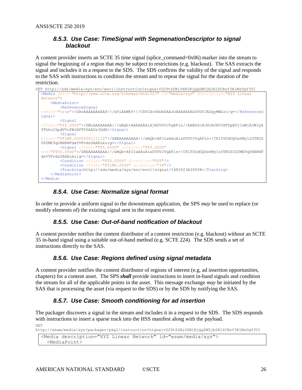## <span id="page-25-0"></span>*8.5.3. Use Case: TimeSignal with SegmenationDescriptor to signal blackout*

A content provider inserts an SCTE 35 time signal (splice\_command=0x06) marker into the stream to signal the beginning of a region that *may* be subject to restrictions (e.g. blackout). The SAS extracts the signal and includes it in a request to the SDS. The SDS confirms the validity of the signal and responds to the SAS with instructions to condition the stream and to repeat the signal for the duration of the restriction.

```
GET http://sds/media/xyz/enc/enc1/instruction?signal=U29tZSBiYXNlNjQgZW5jb2RlZCBzY3RlMzUgY3Vl
  <Media xmlns="http://www.scte.org/schemas/dvs1327" id="media/xyz" description="XYZ Linear 
  Network">
      <MediaPoint>
         <ReferenceSignal
  remove="true">/DAvAAAAAAAAAP///wViAAWKf+//CXVCAv4AUmXAAzUAAAAKAAhDVUVJADgyMWLvc/g=</ReferenceS
  ignal>
         <Signal
  offset="PT0.000S">/DBLAAAAAAAA///wBQb+AAAAAAA1AjNDVUVJYgAFin//AABSZcAJH1NJR05BTDpEUjIxWjA3WlQ4
  YThhc25pdVVoZWlBPT00AADz3GdX</Signal>
          <Signal
  offset="PT1M0.000000011111S">/DBEAAAAAAAA///wBQb+AFJlwAAuAixDVUVJYgAFin+/CR1TSUdOQUw6My1zUTROZ
  0ZUME9qUHNHNFdxVVFvdzUAAEukzlg=</Signal>
         <Signal offset="PT5.000S" interval="PT5.000S"
  end="PT50.000S">/DBEAAAAAAAA///wBQb+AFJlwAAuAixDVUVJYgAFin+/CR1TSUdOQUw6My1zUTROZ0ZUME9qUHNHNF
  dxVVFvdzUAAEukzlg=</Signal>
          <Condition offset="PT0.000S" direction="OUT"/>
         <Condition offset="PT1M0.000S" direction="IN"/>
         <Tracking>http://sds/media/xyz/enc/enc1/signal/1483023A3992B</Tracking>
      </MediaPoint>
  </Media>
```
## *8.5.4. Use Case: Normalize signal format*

<span id="page-25-2"></span><span id="page-25-1"></span>In order to provide a uniform signal to the downstream application, the SPS *may* be used to replace (or modify elements of) the existing signal sent in the request event.

## *8.5.5. Use Case: Out-of-band notification of blackout*

<span id="page-25-3"></span>A content provider notifies the content distributor of a content restriction (e.g. blackout) without an SCTE 35 in-band signal using a suitable out-of-band method (e.g. SCTE 224). The SDS sends a set of instructions directly to the SAS.

## *8.5.6. Use Case: Regions defined using signal metadata*

A content provider notifies the content distributor of regions of interest (e.g. ad insertion opportunities, chapters) for a content asset. The SPS *shall* provide instructions to insert in-band signals and condition the stream for all of the applicable points in the asset. This message exchange *may* be initiated by the SAS that is processing the asset (via request to the SDS) or by the SDS by notifying the SAS.

## *8.5.7. Use Case: Smooth conditioning for ad insertion*

<span id="page-25-4"></span>The packager discovers a signal in the stream and includes it in a request to the SDS. The SDS responds with instructions to insert a sparse track into the HSS manifest along with the payload. GET

http://esam/media/xyz/packager/pkg1/instruction?signal=U29tZSBiYXNlNjQgZW5jb2RlZCBzY3RlMzUgY3Vl

```
<Media description="XYZ Linear Network" id="esam/media/xyz">
  <MediaPoint>
```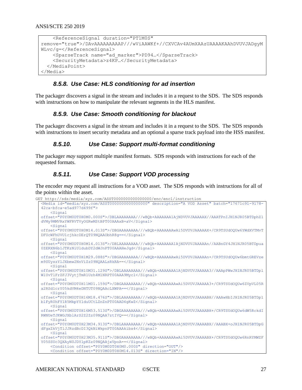```
 <ReferenceSignal duration="PT1M0S" 
remove="true">/DAvAAAAAAAAAP///wViAAWKf+//CXVCAv4AUmXAAzUAAAAKAAhDVUVJADgyM
WLvc/g=</ReferenceSignal>
     <SparseTrack name="ad_marker">PD94…</SparseTrack>
     <SecurityMetadata>z4KP…</SecurityMetadata>
   </MediaPoint>
</Media>
```
### *8.5.8. Use Case: HLS conditioning for ad insertion*

<span id="page-26-1"></span><span id="page-26-0"></span>The packager discovers a signal in the stream and includes it in a request to the SDS. The SDS responds with instructions on how to manipulate the relevant segments in the HLS manifest.

#### *8.5.9. Use Case: Smooth conditioning for blackout*

<span id="page-26-2"></span>The packager discovers a signal in the stream and includes it in a request to the SDS. The SDS responds with instructions to insert security metadata and an optional a sparse track payload into the HSS manifest.

#### *8.5.10. Use Case: Support multi-format conditioning*

<span id="page-26-3"></span>The packager *may* support multiple manifest formats. SDS responds with instructions for each of the requested formats.

#### *8.5.11. Use Case: Support VOD processing*

The encoder *may* request all instructions for a VOD asset. The SDS responds with instructions for all of the points within the asset.

GET http://sds/media/xyz.com/ASST0000000000000000/enc/enc1/instruction

```
<Media id="media/xyz.com/ASST0000000000000000" description="A VOD Asset" batch="17671c91-9178-
42ca-bfca-e5ad977d499f">
    <Signal 
offset="P0Y0M0DT0H0M0.000S">/DBLAAAAAAAA///wBQb+AAAAAAA1AjNDVUVJAAAAAX//AAATPnIJH1NJR05BTDphZ1
dVMy9MMVRxYWFRVTVyOGRwMStBPT00AAAxB+aV</Signal>
    <Si<sub>final</sub></sub>
offset="P0Y0M0DT0H0M14.013S">/DBGAAAAAAAA///wBQb+AAAAAAAwAi5DVUVJAAAAAX+/CR9TSUdOQUw6YWdXVTMvT
DFUcWFhUVU1cjhkcDErQT09NQAAObhR8g==</Signal>
    \leqSignal
offset="P0Y0M0DT0H0M14.013S">/DBLAAAAAAAA///wBQb+AAAAAAA1AjNDVUVJAAAAAn//AABnGY4JH1NJR05BTDpua
0ZERXN6b1JTKzNiUldubDY2dWJnPT00AAAHeJqd</Signal>
     <Signal 
offset="P0Y0M0DT0H1M29.088S">/DBGAAAAAAAA///wBQb+AAAAAAAwAi5DVUVJAAAAAn+/CR9TSUdOQUw6bmtGREVze
m9SUyszYlJXbmw2NnViZz09NQAALsRkRA==</Signal>
    <Si<sub>anal</sub></sub>
offset="P0Y0M0DT0H10M31.129S">/DBLAAAAAAAA///wBQb+AAAAAAA1AjNDVUVJAAAAA3//AAApPWwJH1NJR05BTDpl
WlUvTlFrZFJ3VytjTmR1Uzh4M1NRPT00AAA9Mycl</Signal>
    <Signal
offset="P0Y0M0DT0H11M01.159S">/DBGAAAAAAAA///wBQb+AAAAAAAwAi5DVUVJAAAAA3+/CR9TSUdOQUw6ZVpVL05R
a2RSd1crY05kdVM4eDNTUT09NQAAcLXWPA==</Signal>
   \leqSignal
offset="P0Y0M0DT0H16M18.476S">/DBLAAAAAAAA///wBQb+AAAAAAA1AjNDVUVJAAAABH//AAAwHbIJH1NJR05BTDp1
blFyR0hFY1R5MkpYYlduUCtLZnZnPT00AAD6gKwZ</Signal>
     <Signal 
offset="P0Y0M0DT0H16M53.513S">/DBGAAAAAAAA///wBQb+AAAAAAAwAi5DVUVJAAAABH+/CR9TSUdOQUw6dW5RckdI
RWNUeTJKWGJXblArS2Z2Zz09NQAA7ztIVQ==</Signal>
    <Signal
offset="P0Y0M0DT0H23M34.913S">/DBLAAAAAAAA///wBQb+AAAAAAA1AjNDVUVJAAAABX//AAABX+oJH1NJR05BTDpG
dFgxZkVjTlJJRzdBcDI3QkNiWkpnPT00AAAkibx4</Signal>
    <Signal 
offset="P0Y0M0DT0H23M35.911S">/DBGAAAAAAAA///wBQb+AAAAAAAwAi5DVUVJAAAABX+/CR9TSUdOQUw6RnRYMWZF
Y05SSUc3QXAyN0JDYlpKZz09NQAAjxVpoA==</Signal>
     <Condition offset="P0Y0M0DT0H0M0.000S" direction="OUT"/>
     <Condition offset="P0Y0M0DT0H0M14.013S" direction="IN"/>
```